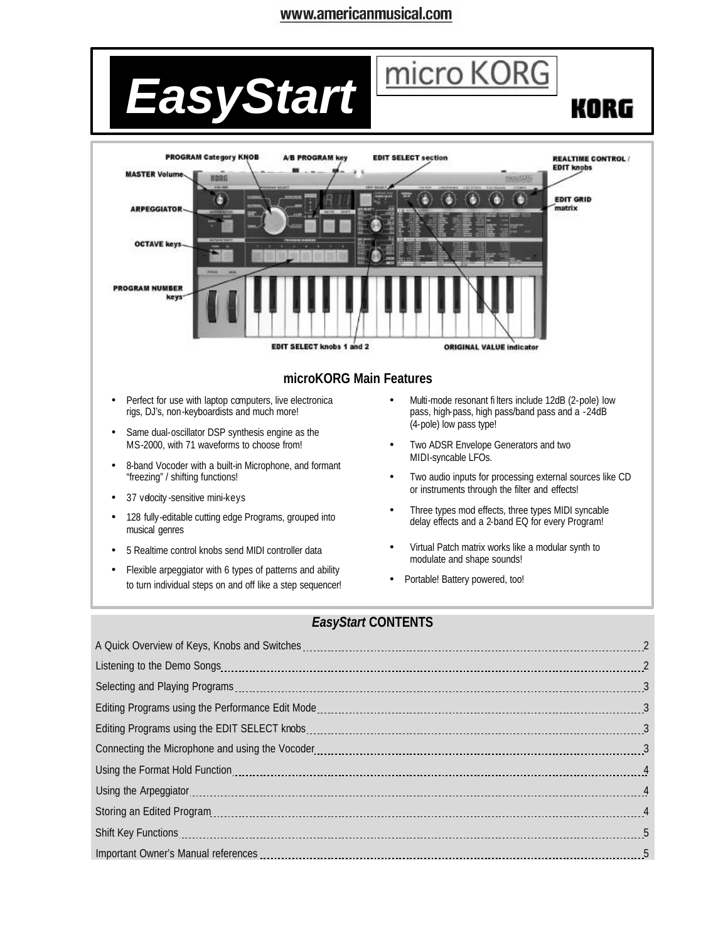# www.americanmusical.com



#### *EasyStart* **CONTENTS**

| Important Owner's Manual references [11, 2010] in the contract of the contract of the contract of the contract of the contract of the contract of the contract of the contract of the contract of the contract of the contract |  |
|--------------------------------------------------------------------------------------------------------------------------------------------------------------------------------------------------------------------------------|--|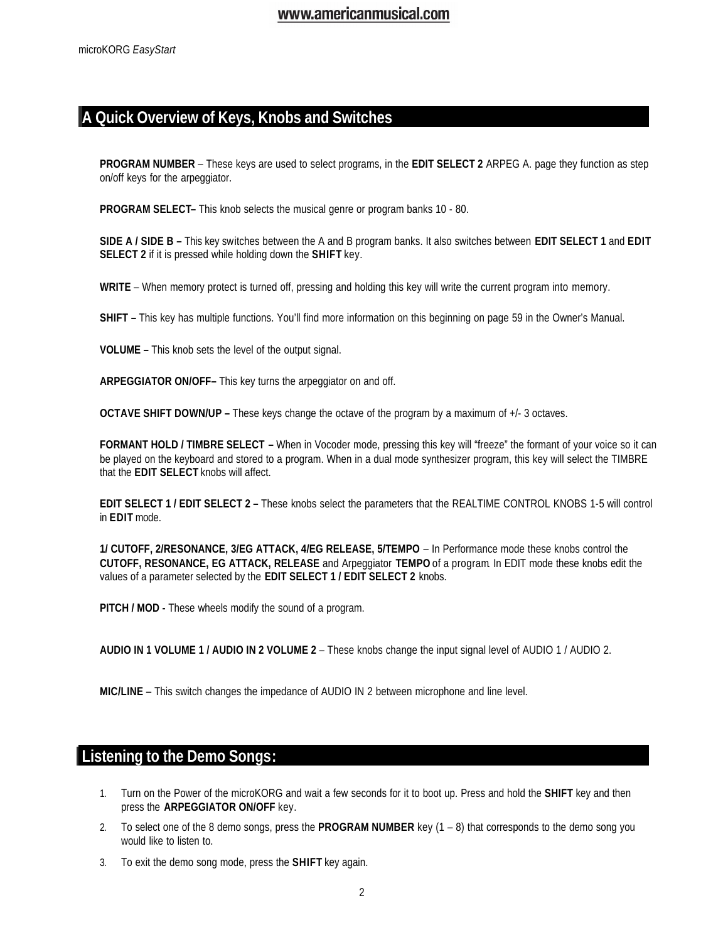## **A Quick Overview of Keys, Knobs and Switches**

**PROGRAM NUMBER** – These keys are used to select programs, in the **EDIT SELECT 2** ARPEG A. page they function as step on/off keys for the arpeggiator.

**PROGRAM SELECT–** This knob selects the musical genre or program banks 10 - 80.

**SIDE A / SIDE B –** This key switches between the A and B program banks. It also switches between **EDIT SELECT 1** and **EDIT SELECT 2** if it is pressed while holding down the **SHIFT** key.

**WRITE** – When memory protect is turned off, pressing and holding this key will write the current program into memory.

**SHIFT –** This key has multiple functions. You'll find more information on this beginning on page 59 in the Owner's Manual.

**VOLUME –** This knob sets the level of the output signal.

**ARPEGGIATOR ON/OFF–** This key turns the arpeggiator on and off.

**OCTAVE SHIFT DOWN/UP –** These keys change the octave of the program by a maximum of +/- 3 octaves.

**FORMANT HOLD / TIMBRE SELECT –** When in Vocoder mode, pressing this key will "freeze" the formant of your voice so it can be played on the keyboard and stored to a program. When in a dual mode synthesizer program, this key will select the TIMBRE that the **EDIT SELECT** knobs will affect.

**EDIT SELECT 1 / EDIT SELECT 2 –** These knobs select the parameters that the REALTIME CONTROL KNOBS 1-5 will control in **EDIT** mode.

**1/ CUTOFF, 2/RESONANCE, 3/EG ATTACK, 4/EG RELEASE, 5/TEMPO** – In Performance mode these knobs control the **CUTOFF, RESONANCE, EG ATTACK, RELEASE** and Arpeggiator **TEMPO** of a program. In EDIT mode these knobs edit the values of a parameter selected by the **EDIT SELECT 1 / EDIT SELECT 2** knobs.

**PITCH / MOD -** These wheels modify the sound of a program.

**AUDIO IN 1 VOLUME 1 / AUDIO IN 2 VOLUME 2** – These knobs change the input signal level of AUDIO 1 / AUDIO 2.

**MIC/LINE** – This switch changes the impedance of AUDIO IN 2 between microphone and line level.

### **Listening to the Demo Songs:**

- 1. Turn on the Power of the microKORG and wait a few seconds for it to boot up. Press and hold the **SHIFT** key and then press the **ARPEGGIATOR ON/OFF** key.
- 2. To select one of the 8 demo songs, press the **PROGRAM NUMBER** key (1 8) that corresponds to the demo song you would like to listen to.
- 3. To exit the demo song mode, press the **SHIFT** key again.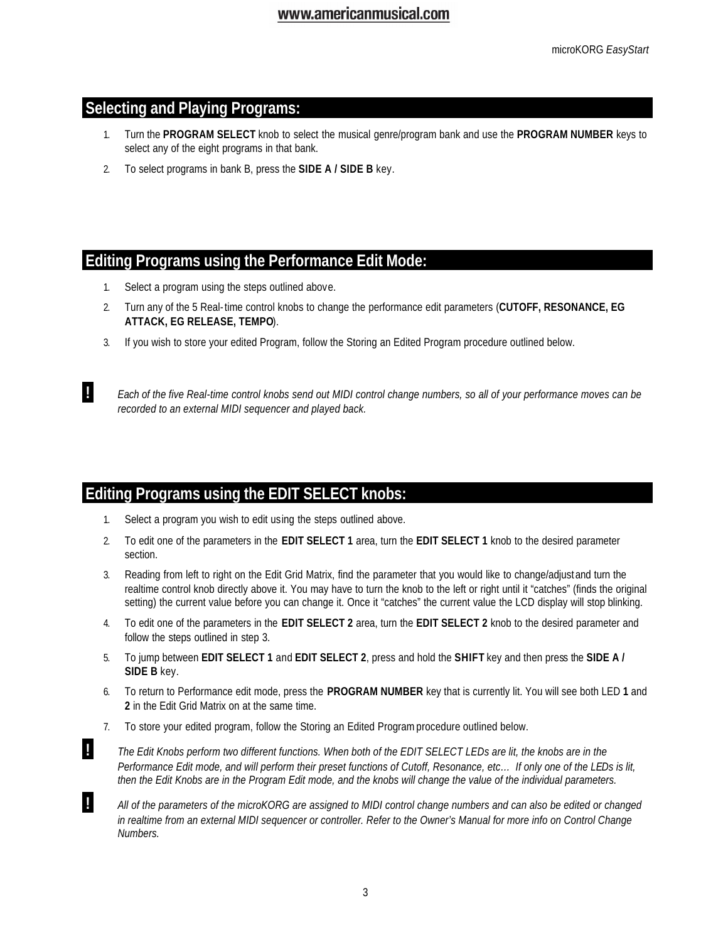## **Selecting and Playing Programs:**

- 1. Turn the **PROGRAM SELECT** knob to select the musical genre/program bank and use the **PROGRAM NUMBER** keys to select any of the eight programs in that bank.
- 2. To select programs in bank B, press the **SIDE A / SIDE B** key.

### **Editing Programs using the Performance Edit Mode:**

- 1. Select a program using the steps outlined above.
- 2. Turn any of the 5 Real-time control knobs to change the performance edit parameters (**CUTOFF, RESONANCE, EG ATTACK, EG RELEASE, TEMPO**).
- 3. If you wish to store your edited Program, follow the Storing an Edited Program procedure outlined below.

 **!** *Each of the five Real-time control knobs send out MIDI control change numbers, so all of your performance moves can be recorded to an external MIDI sequencer and played back.*

# **Editing Programs using the EDIT SELECT knobs:**

- 1. Select a program you wish to edit using the steps outlined above.
- 2. To edit one of the parameters in the **EDIT SELECT 1** area, turn the **EDIT SELECT 1** knob to the desired parameter section.
- 3. Reading from left to right on the Edit Grid Matrix, find the parameter that you would like to change/adjust and turn the realtime control knob directly above it. You may have to turn the knob to the left or right until it "catches" (finds the original setting) the current value before you can change it. Once it "catches" the current value the LCD display will stop blinking.
- 4. To edit one of the parameters in the **EDIT SELECT 2** area, turn the **EDIT SELECT 2** knob to the desired parameter and follow the steps outlined in step 3.
- 5. To jump between **EDIT SELECT 1** and **EDIT SELECT 2**, press and hold the **SHIFT** key and then press the **SIDE A / SIDE B** key.
- 6. To return to Performance edit mode, press the **PROGRAM NUMBER** key that is currently lit. You will see both LED **1** and **2** in the Edit Grid Matrix on at the same time.
- 7. To store your edited program, follow the Storing an Edited Program procedure outlined below.
- **!** *The Edit Knobs perform two different functions. When both of the EDIT SELECT LEDs are lit, the knobs are in the Performance Edit mode, and will perform their preset functions of Cutoff, Resonance, etc… If only one of the LEDs is lit, then the Edit Knobs are in the Program Edit mode, and the knobs will change the value of the individual parameters.*

 **!** *All of the parameters of the microKORG are assigned to MIDI control change numbers and can also be edited or changed*  in realtime from an external MIDI sequencer or controller. Refer to the Owner's Manual for more info on Control Change *Numbers.*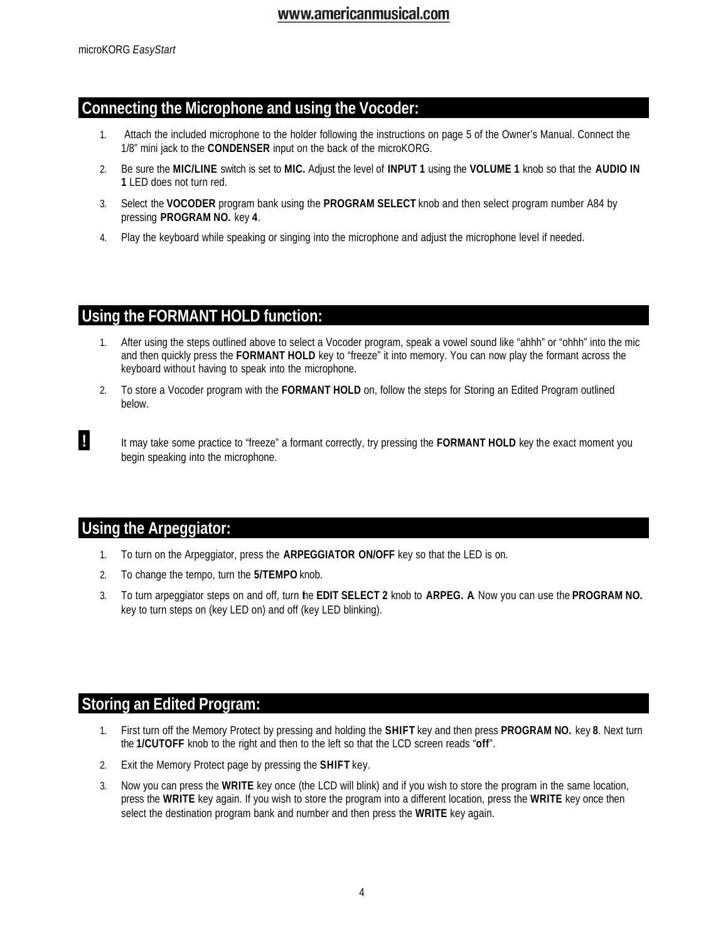### **Connecting the Microphone and using the Vocoder:**

- 1. Attach the included microphone to the holder following the instructions on page 5 of the Owner's Manual. Connect the 1/8" mini jack to the **CONDENSER** input on the back of the microKORG.
- 2. Be sure the **MIC/LINE** switch is set to **MIC.** Adjust the level of **INPUT 1** using the **VOLUME 1** knob so that the **AUDIO IN 1** LED does not turn red.
- 3. Select the **VOCODER** program bank using the **PROGRAM SELECT** knob and then select program number A84 by pressing **PROGRAM NO.** key **4**.
- 4. Play the keyboard while speaking or singing into the microphone and adjust the microphone level if needed.

## **Using the FORMANT HOLD function:**

- 1. After using the steps outlined above to select a Vocoder program, speak a vowel sound like "ahhh" or "ohhh" into the mic and then quickly press the **FORMANT HOLD** key to "freeze" it into memory. You can now play the formant across the keyboard without having to speak into the microphone.
- 2. To store a Vocoder program with the **FORMANT HOLD** on, follow the steps for Storing an Edited Program outlined below.
- **!** It may take some practice to "freeze" a formant correctly, try pressing the **FORMANT HOLD** key the exact moment you begin speaking into the microphone.

### **Using the Arpeggiator:**

- 1. To turn on the Arpeggiator, press the **ARPEGGIATOR ON/OFF** key so that the LED is on.
- 2. To change the tempo, turn the **5/TEMPO** knob.
- 3. To turn arpeggiator steps on and off, turn the **EDIT SELECT 2** knob to **ARPEG. A**. Now you can use the **PROGRAM NO.** key to turn steps on (key LED on) and off (key LED blinking).

## **Storing an Edited Program:**

- 1. First turn off the Memory Protect by pressing and holding the **SHIFT** key and then press **PROGRAM NO.** key **8**. Next turn the **1/CUTOFF** knob to the right and then to the left so that the LCD screen reads "**off**".
- 2. Exit the Memory Protect page by pressing the **SHIFT** key.
- 3. Now you can press the **WRITE** key once (the LCD will blink) and if you wish to store the program in the same location, press the **WRITE** key again. If you wish to store the program into a different location, press the **WRITE** key once then select the destination program bank and number and then press the **WRITE** key again.